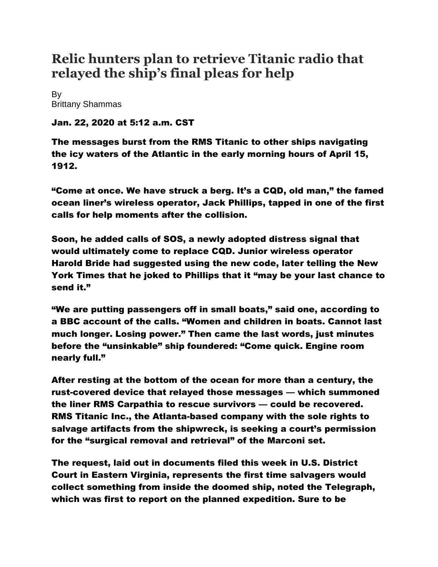## **Relic hunters plan to retrieve Titanic radio that relayed the ship's final pleas for help**

By [Brittany Shammas](https://www.washingtonpost.com/people/brittany-shammas/)

Jan. 22, 2020 at 5:12 a.m. CST

The messages burst from the RMS Titanic to other ships navigating the icy waters of the Atlantic in the early morning hours of April 15, 1912.

"Come at once. We have struck a berg. It's a CQD, old man," the famed ocean liner's wireless operator, Jack Phillips, tapped in one of the first calls for help moments after the collision.

Soon, he added calls of SOS, a newly adopted distress signal that would ultimately come to replace CQD. Junior wireless operator Harold Bride had suggested using the new code, later telling the New York Times that he joked to Phillips that it "may be your last chance to send it."

"We are putting passengers off in small boats," said one, according to a BBC account of the calls. "Women and children in boats. Cannot last much longer. Losing power." Then came the last words, just minutes before the "unsinkable" ship foundered: "Come quick. Engine room nearly full."

After resting at the bottom of the ocean for more than a century, the rust-covered device that relayed those messages — which summoned the liner RMS Carpathia to rescue survivors — could be recovered. RMS Titanic Inc., the Atlanta-based company with the sole rights to salvage artifacts from the shipwreck, is seeking a court's permission for the "surgical removal and retrieval" of the Marconi set.

The request, laid out in documents filed this week in U.S. District Court in Eastern Virginia, represents the first time salvagers would collect something from inside the doomed ship, noted the Telegraph, which was first to report on the planned expedition. Sure to be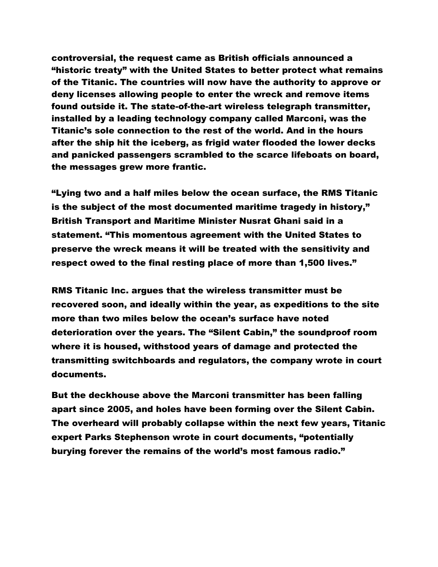controversial, the request came as British officials announced a "historic treaty" with the United States to better protect what remains of the Titanic. The countries will now have the authority to approve or deny licenses allowing people to enter the wreck and remove items found outside it. The state-of-the-art wireless telegraph transmitter, installed by a leading technology company called Marconi, was the Titanic's sole connection to the rest of the world. And in the hours after the ship hit the iceberg, as frigid water flooded the lower decks and panicked passengers scrambled to the scarce lifeboats on board, the messages grew more frantic.

"Lying two and a half miles below the ocean surface, the RMS Titanic is the subject of the most documented maritime tragedy in history," British Transport and Maritime Minister Nusrat Ghani said in a statement. "This momentous agreement with the United States to preserve the wreck means it will be treated with the sensitivity and respect owed to the final resting place of more than 1,500 lives."

RMS Titanic Inc. argues that the wireless transmitter must be recovered soon, and ideally within the year, as expeditions to the site more than two miles below the ocean's surface have noted deterioration over the years. The "Silent Cabin," the soundproof room where it is housed, withstood years of damage and protected the transmitting switchboards and regulators, the company wrote in court documents.

But the deckhouse above the Marconi transmitter has been falling apart since 2005, and holes have been forming over the Silent Cabin. The overheard will probably collapse within the next few years, Titanic expert Parks Stephenson wrote in court documents, "potentially burying forever the remains of the world's most famous radio."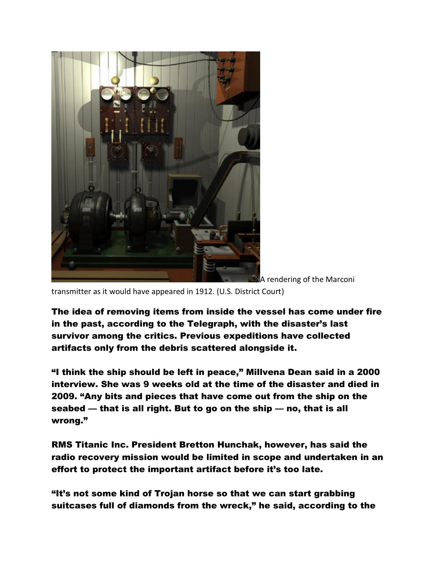

A rendering of the Marconi

transmitter as it would have appeared in 1912. (U.S. District Court)

The idea of removing items from inside the vessel has come under fire in the past, according to the Telegraph, with the disaster's last survivor among the critics. Previous expeditions have collected artifacts only from the debris scattered alongside it.

"I think the ship should be left in peace," Millvena Dean said in a 2000 interview. She was 9 weeks old at the time of the disaster and died in 2009. "Any bits and pieces that have come out from the ship on the seabed — that is all right. But to go on the ship — no, that is all wrong."

RMS Titanic Inc. President Bretton Hunchak, however, has said the radio recovery mission would be limited in scope and undertaken in an effort to protect the important artifact before it's too late.

"It's not some kind of Trojan horse so that we can start grabbing suitcases full of diamonds from the wreck," he said, according to the